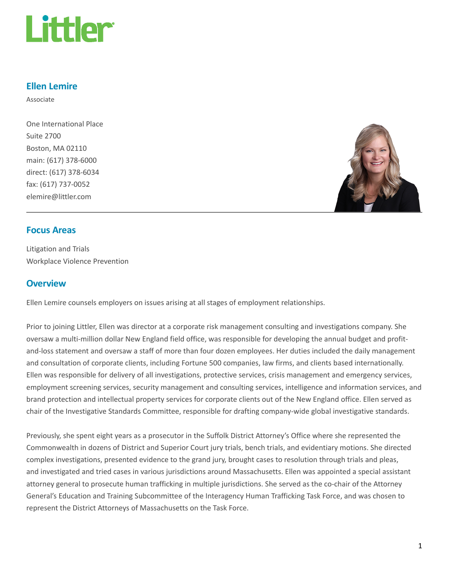

## Ellen Lemire

Associate

One International Place Suite 2700 Boston, MA 02110 main: (617) 378-6000 direct: (617) 378-6034 fax: (617) 737-0052 elemire@littler.com



## Focus Areas

Litigation and Trials Workplace Violence Prevention

## **Overview**

Ellen Lemire counsels employers on issues arising at all stages of employment relationships.

Prior to joining Littler, Ellen was director at a corporate risk management consulting and investigations company. She oversaw a multi-million dollar New England field office, was responsible for developing the annual budget and profitand-loss statement and oversaw a staff of more than four dozen employees. Her duties included the daily management and consultation of corporate clients, including Fortune 500 companies, law firms, and clients based internationally. Ellen was responsible for delivery of all investigations, protective services, crisis management and emergency services, employment screening services, security management and consulting services, intelligence and information services, and brand protection and intellectual property services for corporate clients out of the New England office. Ellen served as chair of the Investigative Standards Committee, responsible for drafting company-wide global investigative standards.

Previously, she spent eight years as a prosecutor in the Suffolk District Attorney's Office where she represented the Commonwealth in dozens of District and Superior Court jury trials, bench trials, and evidentiary motions. She directed complex investigations, presented evidence to the grand jury, brought cases to resolution through trials and pleas, and investigated and tried cases in various jurisdictions around Massachusetts. Ellen was appointed a special assistant attorney general to prosecute human trafficking in multiple jurisdictions. She served as the co-chair of the Attorney General's Education and Training Subcommittee of the Interagency Human Trafficking Task Force, and was chosen to represent the District Attorneys of Massachusetts on the Task Force.